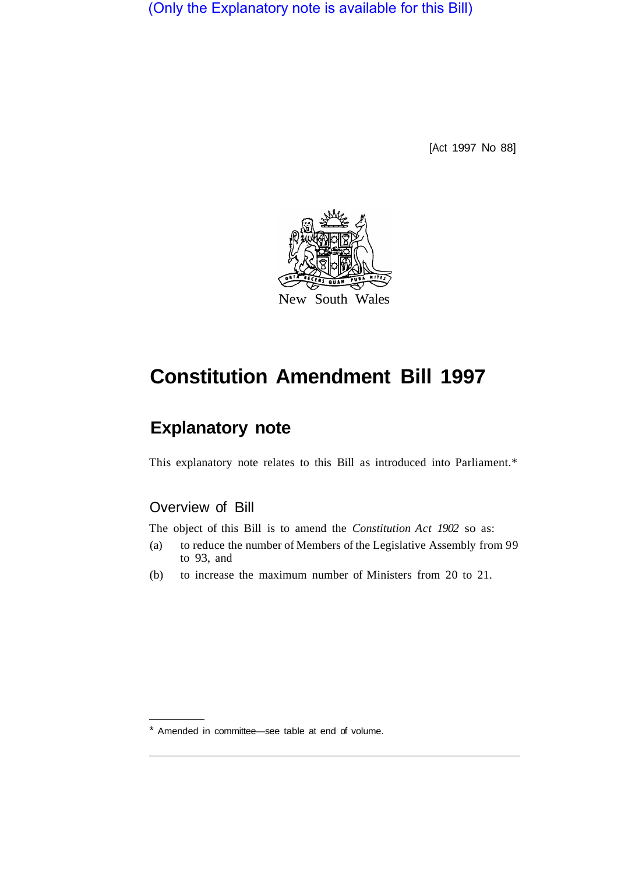(Only the Explanatory note is available for this Bill)

[Act 1997 No 88]



## **Constitution Amendment Bill 1997**

## **Explanatory note**

This explanatory note relates to this Bill as introduced into Parliament.\*

## Overview of Bill

The object of this Bill is to amend the *Constitution Act 1902* so as:

- (a) to reduce the number of Members of the Legislative Assembly from 99 to 93, and
- (b) to increase the maximum number of Ministers from 20 to 21.

Amended in committee—see table at end of volume.